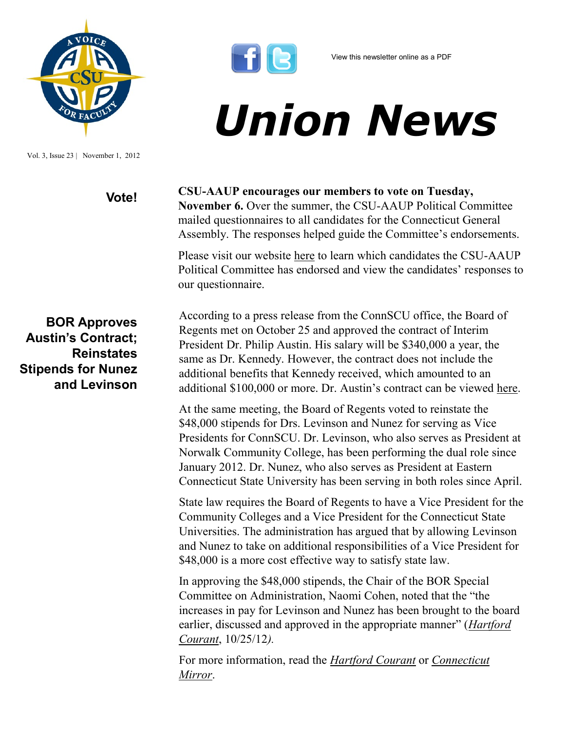

Vol. 3, Issue 23 | November 1, 2012



## *Union News*

## **Vote! CSU-AAUP encourages our members to vote on Tuesday,**

**November 6.** Over the summer, the CSU-AAUP Political Committee mailed questionnaires to all candidates for the Connecticut General Assembly. The responses helped guide the Committee's endorsements.

Please visit our website [here](http://www.csuaaup.org/?page_id=2157) to learn which candidates the CSU-AAUP Political Committee has endorsed and view the candidates' responses to our questionnaire.

**BOR Approves Austin's Contract; Reinstates Stipends for Nunez and Levinson** According to a press release from the ConnSCU office, the Board of Regents met on October 25 and approved the contract of Interim President Dr. Philip Austin. His salary will be \$340,000 a year, the same as Dr. Kennedy. However, the contract does not include the additional benefits that Kennedy received, which amounted to an additional \$100,000 or more. Dr. Austin's contract can be viewed [here.](http://www.ctregents.org/files/pdfs/BOR-Austin-Agreement.pdf)

At the same meeting, the Board of Regents voted to reinstate the \$48,000 stipends for Drs. Levinson and Nunez for serving as Vice Presidents for ConnSCU. Dr. Levinson, who also serves as President at Norwalk Community College, has been performing the dual role since January 2012. Dr. Nunez, who also serves as President at Eastern Connecticut State University has been serving in both roles since April.

State law requires the Board of Regents to have a Vice President for the Community Colleges and a Vice President for the Connecticut State Universities. The administration has argued that by allowing Levinson and Nunez to take on additional responsibilities of a Vice President for \$48,000 is a more cost effective way to satisfy state law.

In approving the \$48,000 stipends, the Chair of the BOR Special Committee on Administration, Naomi Cohen, noted that the "the increases in pay for Levinson and Nunez has been brought to the board earlier, discussed and approved in the appropriate manner" (*[Hartford](http://www.courant.com/news/education/hc-board-of-regents-meet-20121025,0,3268832.story)  [Courant](http://www.courant.com/news/education/hc-board-of-regents-meet-20121025,0,3268832.story)*, 10/25/12*).* 

For more information, read the *[Hartford Courant](http://www.courant.com/news/education/hc-board-of-regents-meet-20121025,0,3268832.story)* or *[Connecticut](http://www.ctmirror.org/story/17890/president-raises)  [Mirror](http://www.ctmirror.org/story/17890/president-raises)*.